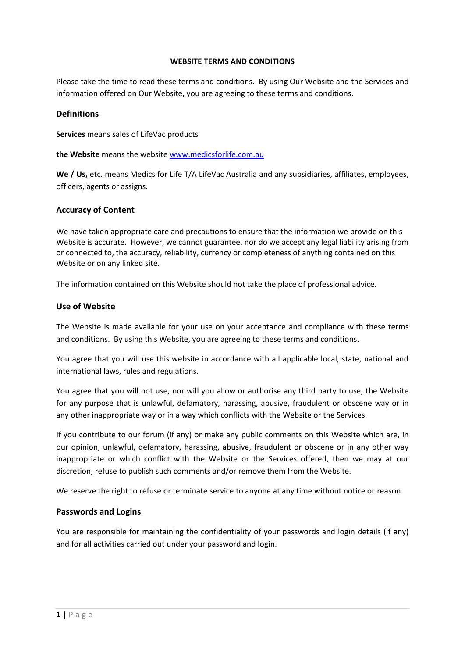#### **WEBSITE TERMS AND CONDITIONS**

Please take the time to read these terms and conditions. By using Our Website and the Services and information offered on Our Website, you are agreeing to these terms and conditions.

#### **Definitions**

**Services** means sales of LifeVac products

**the Website** means the website [www.medicsforlife.com.au](http://www.medicsforlife.com.au/)

**We / Us,** etc. means Medics for Life T/A LifeVac Australia and any subsidiaries, affiliates, employees, officers, agents or assigns.

#### **Accuracy of Content**

We have taken appropriate care and precautions to ensure that the information we provide on this Website is accurate. However, we cannot guarantee, nor do we accept any legal liability arising from or connected to, the accuracy, reliability, currency or completeness of anything contained on this Website or on any linked site.

The information contained on this Website should not take the place of professional advice.

#### **Use of Website**

The Website is made available for your use on your acceptance and compliance with these terms and conditions. By using this Website, you are agreeing to these terms and conditions.

You agree that you will use this website in accordance with all applicable local, state, national and international laws, rules and regulations.

You agree that you will not use, nor will you allow or authorise any third party to use, the Website for any purpose that is unlawful, defamatory, harassing, abusive, fraudulent or obscene way or in any other inappropriate way or in a way which conflicts with the Website or the Services.

If you contribute to our forum (if any) or make any public comments on this Website which are, in our opinion, unlawful, defamatory, harassing, abusive, fraudulent or obscene or in any other way inappropriate or which conflict with the Website or the Services offered, then we may at our discretion, refuse to publish such comments and/or remove them from the Website.

We reserve the right to refuse or terminate service to anyone at any time without notice or reason.

### **Passwords and Logins**

You are responsible for maintaining the confidentiality of your passwords and login details (if any) and for all activities carried out under your password and login.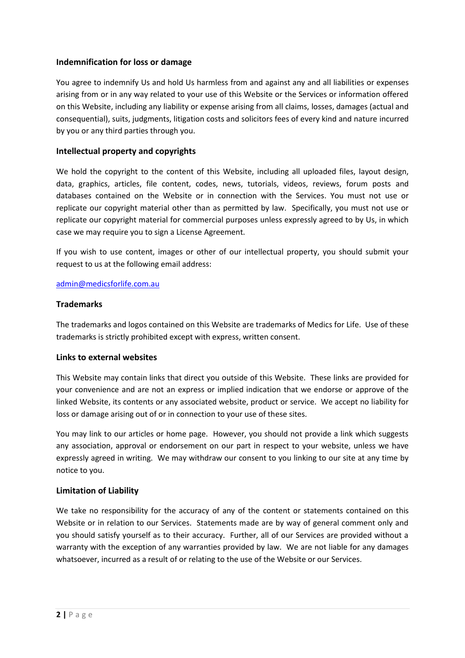## **Indemnification for loss or damage**

You agree to indemnify Us and hold Us harmless from and against any and all liabilities or expenses arising from or in any way related to your use of this Website or the Services or information offered on this Website, including any liability or expense arising from all claims, losses, damages (actual and consequential), suits, judgments, litigation costs and solicitors fees of every kind and nature incurred by you or any third parties through you.

## **Intellectual property and copyrights**

We hold the copyright to the content of this Website, including all uploaded files, layout design, data, graphics, articles, file content, codes, news, tutorials, videos, reviews, forum posts and databases contained on the Website or in connection with the Services. You must not use or replicate our copyright material other than as permitted by law. Specifically, you must not use or replicate our copyright material for commercial purposes unless expressly agreed to by Us, in which case we may require you to sign a License Agreement.

If you wish to use content, images or other of our intellectual property, you should submit your request to us at the following email address:

### [admin@medicsforlife.com.au](mailto:admin@medicsforlife.com.au)

### **Trademarks**

The trademarks and logos contained on this Website are trademarks of Medics for Life. Use of these trademarks is strictly prohibited except with express, written consent.

### **Links to external websites**

This Website may contain links that direct you outside of this Website. These links are provided for your convenience and are not an express or implied indication that we endorse or approve of the linked Website, its contents or any associated website, product or service. We accept no liability for loss or damage arising out of or in connection to your use of these sites.

You may link to our articles or home page. However, you should not provide a link which suggests any association, approval or endorsement on our part in respect to your website, unless we have expressly agreed in writing. We may withdraw our consent to you linking to our site at any time by notice to you.

### **Limitation of Liability**

We take no responsibility for the accuracy of any of the content or statements contained on this Website or in relation to our Services. Statements made are by way of general comment only and you should satisfy yourself as to their accuracy. Further, all of our Services are provided without a warranty with the exception of any warranties provided by law. We are not liable for any damages whatsoever, incurred as a result of or relating to the use of the Website or our Services.